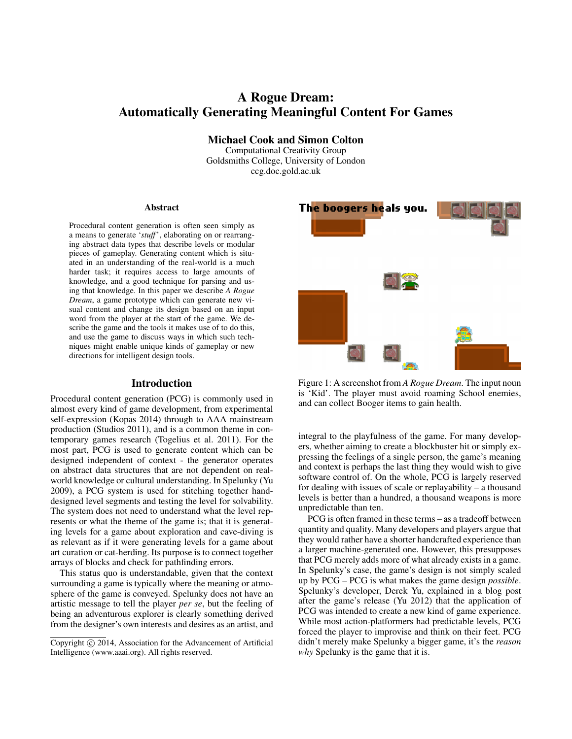# A Rogue Dream: Automatically Generating Meaningful Content For Games

Michael Cook and Simon Colton

Computational Creativity Group Goldsmiths College, University of London ccg.doc.gold.ac.uk

#### Abstract

Procedural content generation is often seen simply as a means to generate '*stuff*', elaborating on or rearranging abstract data types that describe levels or modular pieces of gameplay. Generating content which is situated in an understanding of the real-world is a much harder task; it requires access to large amounts of knowledge, and a good technique for parsing and using that knowledge. In this paper we describe *A Rogue Dream*, a game prototype which can generate new visual content and change its design based on an input word from the player at the start of the game. We describe the game and the tools it makes use of to do this, and use the game to discuss ways in which such techniques might enable unique kinds of gameplay or new directions for intelligent design tools.

## Introduction

Procedural content generation (PCG) is commonly used in almost every kind of game development, from experimental self-expression (Kopas 2014) through to AAA mainstream production (Studios 2011), and is a common theme in contemporary games research (Togelius et al. 2011). For the most part, PCG is used to generate content which can be designed independent of context - the generator operates on abstract data structures that are not dependent on realworld knowledge or cultural understanding. In Spelunky (Yu 2009), a PCG system is used for stitching together handdesigned level segments and testing the level for solvability. The system does not need to understand what the level represents or what the theme of the game is; that it is generating levels for a game about exploration and cave-diving is as relevant as if it were generating levels for a game about art curation or cat-herding. Its purpose is to connect together arrays of blocks and check for pathfinding errors.

This status quo is understandable, given that the context surrounding a game is typically where the meaning or atmosphere of the game is conveyed. Spelunky does not have an artistic message to tell the player *per se*, but the feeling of being an adventurous explorer is clearly something derived from the designer's own interests and desires as an artist, and



Figure 1: A screenshot from *A Rogue Dream*. The input noun is 'Kid'. The player must avoid roaming School enemies, and can collect Booger items to gain health.

integral to the playfulness of the game. For many developers, whether aiming to create a blockbuster hit or simply expressing the feelings of a single person, the game's meaning and context is perhaps the last thing they would wish to give software control of. On the whole, PCG is largely reserved for dealing with issues of scale or replayability – a thousand levels is better than a hundred, a thousand weapons is more unpredictable than ten.

PCG is often framed in these terms – as a tradeoff between quantity and quality. Many developers and players argue that they would rather have a shorter handcrafted experience than a larger machine-generated one. However, this presupposes that PCG merely adds more of what already exists in a game. In Spelunky's case, the game's design is not simply scaled up by PCG – PCG is what makes the game design *possible*. Spelunky's developer, Derek Yu, explained in a blog post after the game's release (Yu 2012) that the application of PCG was intended to create a new kind of game experience. While most action-platformers had predictable levels, PCG forced the player to improvise and think on their feet. PCG didn't merely make Spelunky a bigger game, it's the *reason why* Spelunky is the game that it is.

Copyright  $\odot$  2014, Association for the Advancement of Artificial Intelligence (www.aaai.org). All rights reserved.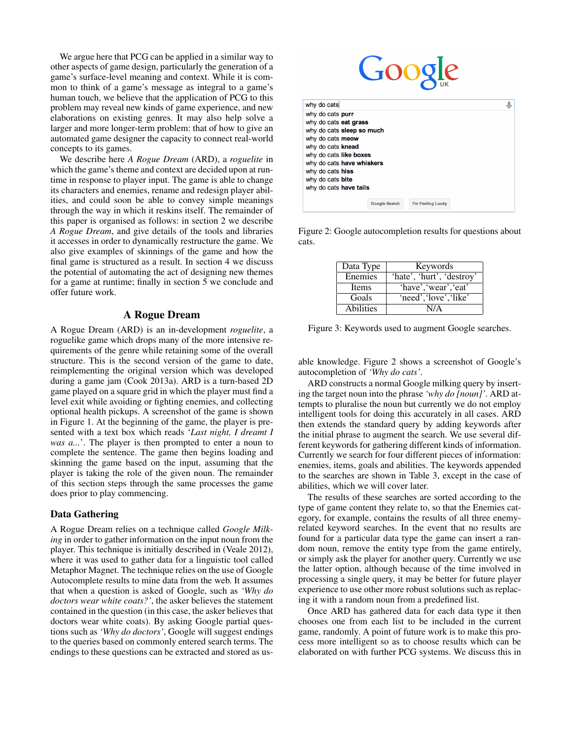We argue here that PCG can be applied in a similar way to other aspects of game design, particularly the generation of a game's surface-level meaning and context. While it is common to think of a game's message as integral to a game's human touch, we believe that the application of PCG to this problem may reveal new kinds of game experience, and new elaborations on existing genres. It may also help solve a larger and more longer-term problem: that of how to give an automated game designer the capacity to connect real-world concepts to its games.

We describe here *A Rogue Dream* (ARD), a *roguelite* in which the game's theme and context are decided upon at runtime in response to player input. The game is able to change its characters and enemies, rename and redesign player abilities, and could soon be able to convey simple meanings through the way in which it reskins itself. The remainder of this paper is organised as follows: in section 2 we describe *A Rogue Dream*, and give details of the tools and libraries it accesses in order to dynamically restructure the game. We also give examples of skinnings of the game and how the final game is structured as a result. In section 4 we discuss the potential of automating the act of designing new themes for a game at runtime; finally in section 5 we conclude and offer future work.

## A Rogue Dream

A Rogue Dream (ARD) is an in-development *roguelite*, a roguelike game which drops many of the more intensive requirements of the genre while retaining some of the overall structure. This is the second version of the game to date, reimplementing the original version which was developed during a game jam (Cook 2013a). ARD is a turn-based 2D game played on a square grid in which the player must find a level exit while avoiding or fighting enemies, and collecting optional health pickups. A screenshot of the game is shown in Figure 1. At the beginning of the game, the player is presented with a text box which reads '*Last night, I dreamt I was a...*'. The player is then prompted to enter a noun to complete the sentence. The game then begins loading and skinning the game based on the input, assuming that the player is taking the role of the given noun. The remainder of this section steps through the same processes the game does prior to play commencing.

## Data Gathering

A Rogue Dream relies on a technique called *Google Milking* in order to gather information on the input noun from the player. This technique is initially described in (Veale 2012), where it was used to gather data for a linguistic tool called Metaphor Magnet. The technique relies on the use of Google Autocomplete results to mine data from the web. It assumes that when a question is asked of Google, such as *'Why do doctors wear white coats?'*, the asker believes the statement contained in the question (in this case, the asker believes that doctors wear white coats). By asking Google partial questions such as *'Why do doctors'*, Google will suggest endings to the queries based on commonly entered search terms. The endings to these questions can be extracted and stored as us-



| why do cats                                                                                                                                                                                | J |
|--------------------------------------------------------------------------------------------------------------------------------------------------------------------------------------------|---|
| why do cats purr<br>why do cats eat grass<br>why do cats sleep so much<br>why do cats meow<br>why do cats knead<br>why do cats like boxes<br>why do cats have whiskers<br>why do cats hiss |   |
| why do cats bite                                                                                                                                                                           |   |
| why do cats have tails                                                                                                                                                                     |   |
| I'm Feeling Lucky<br><b>Google Search</b>                                                                                                                                                  |   |

Figure 2: Google autocompletion results for questions about cats.

| Data Type    | Keywords                  |
|--------------|---------------------------|
| Enemies      | 'hate', 'hurt', 'destroy' |
| <b>Items</b> | 'have', 'wear', 'eat'     |
| Goals        | 'need', 'love', 'like'    |
| Abilities    | N/A                       |

Figure 3: Keywords used to augment Google searches.

able knowledge. Figure 2 shows a screenshot of Google's autocompletion of *'Why do cats'*.

ARD constructs a normal Google milking query by inserting the target noun into the phrase *'why do [noun]'*. ARD attempts to pluralise the noun but currently we do not employ intelligent tools for doing this accurately in all cases. ARD then extends the standard query by adding keywords after the initial phrase to augment the search. We use several different keywords for gathering different kinds of information. Currently we search for four different pieces of information: enemies, items, goals and abilities. The keywords appended to the searches are shown in Table 3, except in the case of abilities, which we will cover later.

The results of these searches are sorted according to the type of game content they relate to, so that the Enemies category, for example, contains the results of all three enemyrelated keyword searches. In the event that no results are found for a particular data type the game can insert a random noun, remove the entity type from the game entirely, or simply ask the player for another query. Currently we use the latter option, although because of the time involved in processing a single query, it may be better for future player experience to use other more robust solutions such as replacing it with a random noun from a predefined list.

Once ARD has gathered data for each data type it then chooses one from each list to be included in the current game, randomly. A point of future work is to make this process more intelligent so as to choose results which can be elaborated on with further PCG systems. We discuss this in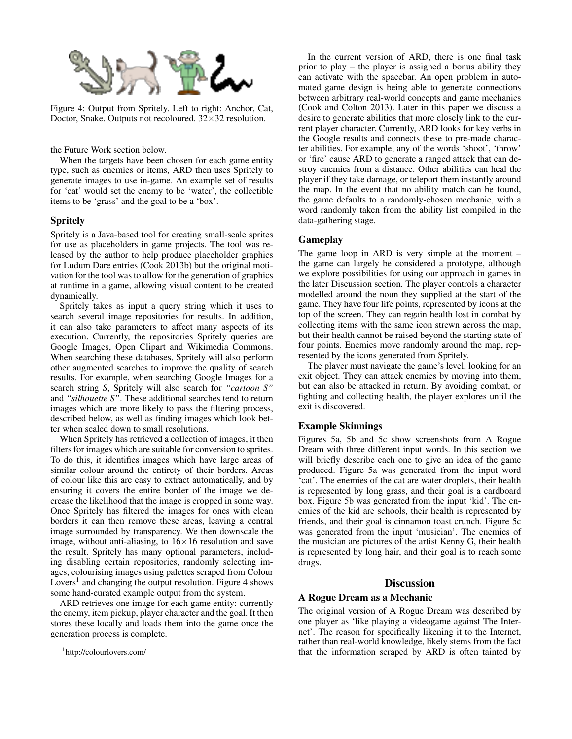

Figure 4: Output from Spritely. Left to right: Anchor, Cat, Doctor, Snake. Outputs not recoloured.  $32\times32$  resolution.

the Future Work section below.

When the targets have been chosen for each game entity type, such as enemies or items, ARD then uses Spritely to generate images to use in-game. An example set of results for 'cat' would set the enemy to be 'water', the collectible items to be 'grass' and the goal to be a 'box'.

## Spritely

Spritely is a Java-based tool for creating small-scale sprites for use as placeholders in game projects. The tool was released by the author to help produce placeholder graphics for Ludum Dare entries (Cook 2013b) but the original motivation for the tool was to allow for the generation of graphics at runtime in a game, allowing visual content to be created dynamically.

Spritely takes as input a query string which it uses to search several image repositories for results. In addition, it can also take parameters to affect many aspects of its execution. Currently, the repositories Spritely queries are Google Images, Open Clipart and Wikimedia Commons. When searching these databases, Spritely will also perform other augmented searches to improve the quality of search results. For example, when searching Google Images for a search string *S*, Spritely will also search for *"cartoon S"* and *"silhouette S"*. These additional searches tend to return images which are more likely to pass the filtering process, described below, as well as finding images which look better when scaled down to small resolutions.

When Spritely has retrieved a collection of images, it then filters for images which are suitable for conversion to sprites. To do this, it identifies images which have large areas of similar colour around the entirety of their borders. Areas of colour like this are easy to extract automatically, and by ensuring it covers the entire border of the image we decrease the likelihood that the image is cropped in some way. Once Spritely has filtered the images for ones with clean borders it can then remove these areas, leaving a central image surrounded by transparency. We then downscale the image, without anti-aliasing, to  $16\times16$  resolution and save the result. Spritely has many optional parameters, including disabling certain repositories, randomly selecting images, colourising images using palettes scraped from Colour Lovers<sup>1</sup> and changing the output resolution. Figure 4 shows some hand-curated example output from the system.

ARD retrieves one image for each game entity: currently the enemy, item pickup, player character and the goal. It then stores these locally and loads them into the game once the generation process is complete.

In the current version of ARD, there is one final task prior to play – the player is assigned a bonus ability they can activate with the spacebar. An open problem in automated game design is being able to generate connections between arbitrary real-world concepts and game mechanics (Cook and Colton 2013). Later in this paper we discuss a desire to generate abilities that more closely link to the current player character. Currently, ARD looks for key verbs in the Google results and connects these to pre-made character abilities. For example, any of the words 'shoot', 'throw' or 'fire' cause ARD to generate a ranged attack that can destroy enemies from a distance. Other abilities can heal the player if they take damage, or teleport them instantly around the map. In the event that no ability match can be found, the game defaults to a randomly-chosen mechanic, with a word randomly taken from the ability list compiled in the data-gathering stage.

## Gameplay

The game loop in ARD is very simple at the moment – the game can largely be considered a prototype, although we explore possibilities for using our approach in games in the later Discussion section. The player controls a character modelled around the noun they supplied at the start of the game. They have four life points, represented by icons at the top of the screen. They can regain health lost in combat by collecting items with the same icon strewn across the map, but their health cannot be raised beyond the starting state of four points. Enemies move randomly around the map, represented by the icons generated from Spritely.

The player must navigate the game's level, looking for an exit object. They can attack enemies by moving into them, but can also be attacked in return. By avoiding combat, or fighting and collecting health, the player explores until the exit is discovered.

#### Example Skinnings

Figures 5a, 5b and 5c show screenshots from A Rogue Dream with three different input words. In this section we will briefly describe each one to give an idea of the game produced. Figure 5a was generated from the input word 'cat'. The enemies of the cat are water droplets, their health is represented by long grass, and their goal is a cardboard box. Figure 5b was generated from the input 'kid'. The enemies of the kid are schools, their health is represented by friends, and their goal is cinnamon toast crunch. Figure 5c was generated from the input 'musician'. The enemies of the musician are pictures of the artist Kenny G, their health is represented by long hair, and their goal is to reach some drugs.

#### **Discussion**

#### A Rogue Dream as a Mechanic

The original version of A Rogue Dream was described by one player as 'like playing a videogame against The Internet'. The reason for specifically likening it to the Internet, rather than real-world knowledge, likely stems from the fact that the information scraped by ARD is often tainted by

<sup>1</sup> http://colourlovers.com/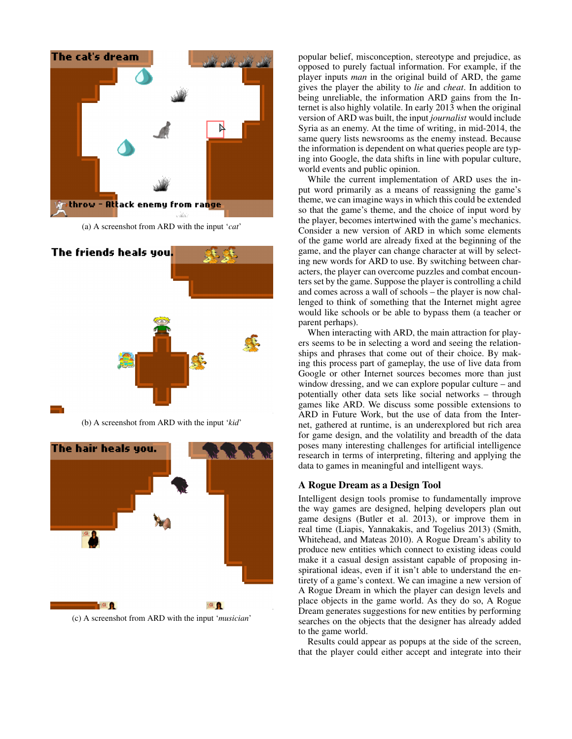

(a) A screenshot from ARD with the input '*cat*'



(b) A screenshot from ARD with the input '*kid*'



(c) A screenshot from ARD with the input '*musician*'

popular belief, misconception, stereotype and prejudice, as opposed to purely factual information. For example, if the player inputs *man* in the original build of ARD, the game gives the player the ability to *lie* and *cheat*. In addition to being unreliable, the information ARD gains from the Internet is also highly volatile. In early 2013 when the original version of ARD was built, the input *journalist* would include Syria as an enemy. At the time of writing, in mid-2014, the same query lists newsrooms as the enemy instead. Because the information is dependent on what queries people are typing into Google, the data shifts in line with popular culture, world events and public opinion.

While the current implementation of ARD uses the input word primarily as a means of reassigning the game's theme, we can imagine ways in which this could be extended so that the game's theme, and the choice of input word by the player, becomes intertwined with the game's mechanics. Consider a new version of ARD in which some elements of the game world are already fixed at the beginning of the game, and the player can change character at will by selecting new words for ARD to use. By switching between characters, the player can overcome puzzles and combat encounters set by the game. Suppose the player is controlling a child and comes across a wall of schools – the player is now challenged to think of something that the Internet might agree would like schools or be able to bypass them (a teacher or parent perhaps).

When interacting with ARD, the main attraction for players seems to be in selecting a word and seeing the relationships and phrases that come out of their choice. By making this process part of gameplay, the use of live data from Google or other Internet sources becomes more than just window dressing, and we can explore popular culture – and potentially other data sets like social networks – through games like ARD. We discuss some possible extensions to ARD in Future Work, but the use of data from the Internet, gathered at runtime, is an underexplored but rich area for game design, and the volatility and breadth of the data poses many interesting challenges for artificial intelligence research in terms of interpreting, filtering and applying the data to games in meaningful and intelligent ways.

#### A Rogue Dream as a Design Tool

Intelligent design tools promise to fundamentally improve the way games are designed, helping developers plan out game designs (Butler et al. 2013), or improve them in real time (Liapis, Yannakakis, and Togelius 2013) (Smith, Whitehead, and Mateas 2010). A Rogue Dream's ability to produce new entities which connect to existing ideas could make it a casual design assistant capable of proposing inspirational ideas, even if it isn't able to understand the entirety of a game's context. We can imagine a new version of A Rogue Dream in which the player can design levels and place objects in the game world. As they do so, A Rogue Dream generates suggestions for new entities by performing searches on the objects that the designer has already added to the game world.

Results could appear as popups at the side of the screen, that the player could either accept and integrate into their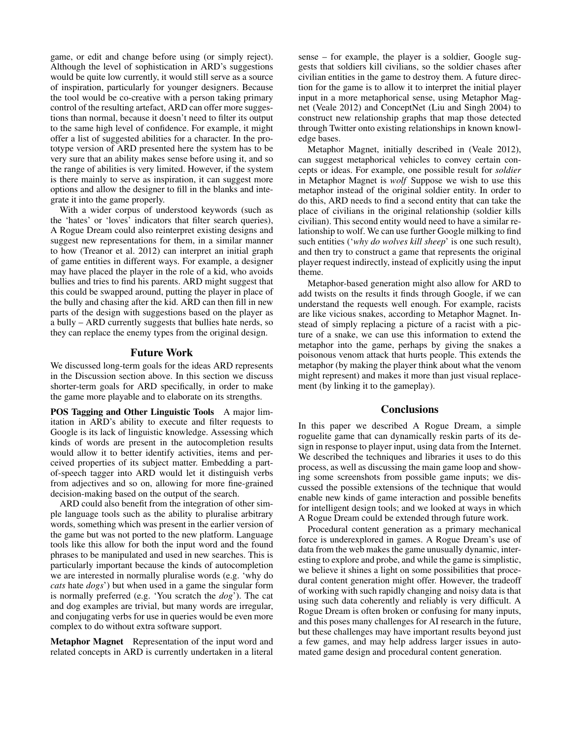game, or edit and change before using (or simply reject). Although the level of sophistication in ARD's suggestions would be quite low currently, it would still serve as a source of inspiration, particularly for younger designers. Because the tool would be co-creative with a person taking primary control of the resulting artefact, ARD can offer more suggestions than normal, because it doesn't need to filter its output to the same high level of confidence. For example, it might offer a list of suggested abilities for a character. In the prototype version of ARD presented here the system has to be very sure that an ability makes sense before using it, and so the range of abilities is very limited. However, if the system is there mainly to serve as inspiration, it can suggest more options and allow the designer to fill in the blanks and integrate it into the game properly.

With a wider corpus of understood keywords (such as the 'hates' or 'loves' indicators that filter search queries), A Rogue Dream could also reinterpret existing designs and suggest new representations for them, in a similar manner to how (Treanor et al. 2012) can interpret an initial graph of game entities in different ways. For example, a designer may have placed the player in the role of a kid, who avoids bullies and tries to find his parents. ARD might suggest that this could be swapped around, putting the player in place of the bully and chasing after the kid. ARD can then fill in new parts of the design with suggestions based on the player as a bully – ARD currently suggests that bullies hate nerds, so they can replace the enemy types from the original design.

## Future Work

We discussed long-term goals for the ideas ARD represents in the Discussion section above. In this section we discuss shorter-term goals for ARD specifically, in order to make the game more playable and to elaborate on its strengths.

POS Tagging and Other Linguistic Tools A major limitation in ARD's ability to execute and filter requests to Google is its lack of linguistic knowledge. Assessing which kinds of words are present in the autocompletion results would allow it to better identify activities, items and perceived properties of its subject matter. Embedding a partof-speech tagger into ARD would let it distinguish verbs from adjectives and so on, allowing for more fine-grained decision-making based on the output of the search.

ARD could also benefit from the integration of other simple language tools such as the ability to pluralise arbitrary words, something which was present in the earlier version of the game but was not ported to the new platform. Language tools like this allow for both the input word and the found phrases to be manipulated and used in new searches. This is particularly important because the kinds of autocompletion we are interested in normally pluralise words (e.g. 'why do *cats* hate *dogs*') but when used in a game the singular form is normally preferred (e.g. 'You scratch the *dog*'). The cat and dog examples are trivial, but many words are irregular, and conjugating verbs for use in queries would be even more complex to do without extra software support.

Metaphor Magnet Representation of the input word and related concepts in ARD is currently undertaken in a literal

sense – for example, the player is a soldier, Google suggests that soldiers kill civilians, so the soldier chases after civilian entities in the game to destroy them. A future direction for the game is to allow it to interpret the initial player input in a more metaphorical sense, using Metaphor Magnet (Veale 2012) and ConceptNet (Liu and Singh 2004) to construct new relationship graphs that map those detected through Twitter onto existing relationships in known knowledge bases.

Metaphor Magnet, initially described in (Veale 2012), can suggest metaphorical vehicles to convey certain concepts or ideas. For example, one possible result for *soldier* in Metaphor Magnet is *wolf* Suppose we wish to use this metaphor instead of the original soldier entity. In order to do this, ARD needs to find a second entity that can take the place of civilians in the original relationship (soldier kills civilian). This second entity would need to have a similar relationship to wolf. We can use further Google milking to find such entities ('*why do wolves kill sheep*' is one such result), and then try to construct a game that represents the original player request indirectly, instead of explicitly using the input theme.

Metaphor-based generation might also allow for ARD to add twists on the results it finds through Google, if we can understand the requests well enough. For example, racists are like vicious snakes, according to Metaphor Magnet. Instead of simply replacing a picture of a racist with a picture of a snake, we can use this information to extend the metaphor into the game, perhaps by giving the snakes a poisonous venom attack that hurts people. This extends the metaphor (by making the player think about what the venom might represent) and makes it more than just visual replacement (by linking it to the gameplay).

## Conclusions

In this paper we described A Rogue Dream, a simple roguelite game that can dynamically reskin parts of its design in response to player input, using data from the Internet. We described the techniques and libraries it uses to do this process, as well as discussing the main game loop and showing some screenshots from possible game inputs; we discussed the possible extensions of the technique that would enable new kinds of game interaction and possible benefits for intelligent design tools; and we looked at ways in which A Rogue Dream could be extended through future work.

Procedural content generation as a primary mechanical force is underexplored in games. A Rogue Dream's use of data from the web makes the game unusually dynamic, interesting to explore and probe, and while the game is simplistic, we believe it shines a light on some possibilities that procedural content generation might offer. However, the tradeoff of working with such rapidly changing and noisy data is that using such data coherently and reliably is very difficult. A Rogue Dream is often broken or confusing for many inputs, and this poses many challenges for AI research in the future, but these challenges may have important results beyond just a few games, and may help address larger issues in automated game design and procedural content generation.